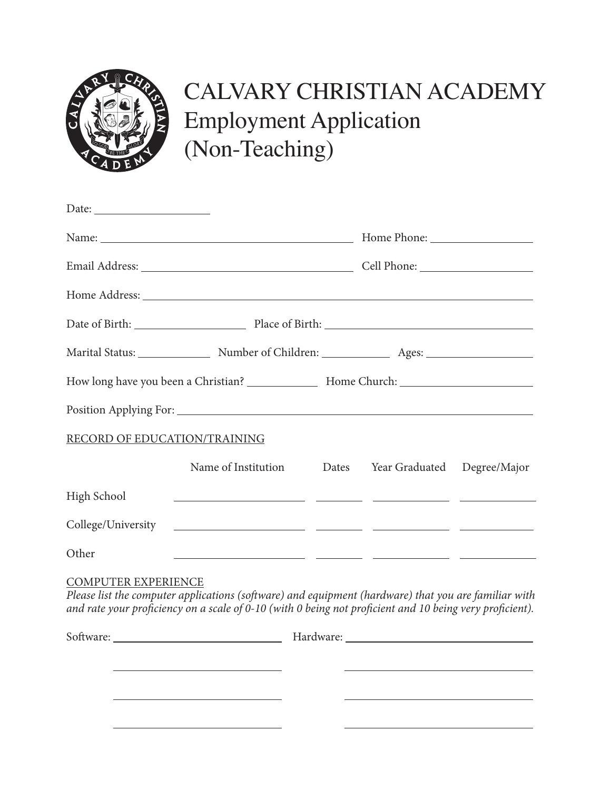

## CALVARY CHRISTIAN ACADEMY Employment Application (Non-Teaching)

| Date: $\frac{1}{\sqrt{1-\frac{1}{2}}\sqrt{1-\frac{1}{2}}\sqrt{1-\frac{1}{2}}\sqrt{1-\frac{1}{2}}\sqrt{1-\frac{1}{2}}\sqrt{1-\frac{1}{2}}\sqrt{1-\frac{1}{2}}\sqrt{1-\frac{1}{2}}\sqrt{1-\frac{1}{2}}\sqrt{1-\frac{1}{2}}\sqrt{1-\frac{1}{2}}\sqrt{1-\frac{1}{2}}\sqrt{1-\frac{1}{2}}\sqrt{1-\frac{1}{2}}\sqrt{1-\frac{1}{2}}\sqrt{1-\frac{1}{2}}\sqrt{1-\frac{1}{2}}\sqrt{1-\frac{1}{2}}\sqrt{1-\frac{1}{2}}$ |                                                                                                                                                                                                                  |  |                             |  |  |  |
|---------------------------------------------------------------------------------------------------------------------------------------------------------------------------------------------------------------------------------------------------------------------------------------------------------------------------------------------------------------------------------------------------------------|------------------------------------------------------------------------------------------------------------------------------------------------------------------------------------------------------------------|--|-----------------------------|--|--|--|
|                                                                                                                                                                                                                                                                                                                                                                                                               |                                                                                                                                                                                                                  |  |                             |  |  |  |
|                                                                                                                                                                                                                                                                                                                                                                                                               |                                                                                                                                                                                                                  |  |                             |  |  |  |
|                                                                                                                                                                                                                                                                                                                                                                                                               |                                                                                                                                                                                                                  |  |                             |  |  |  |
|                                                                                                                                                                                                                                                                                                                                                                                                               |                                                                                                                                                                                                                  |  |                             |  |  |  |
|                                                                                                                                                                                                                                                                                                                                                                                                               |                                                                                                                                                                                                                  |  |                             |  |  |  |
|                                                                                                                                                                                                                                                                                                                                                                                                               |                                                                                                                                                                                                                  |  |                             |  |  |  |
|                                                                                                                                                                                                                                                                                                                                                                                                               |                                                                                                                                                                                                                  |  |                             |  |  |  |
| RECORD OF EDUCATION/TRAINING                                                                                                                                                                                                                                                                                                                                                                                  |                                                                                                                                                                                                                  |  |                             |  |  |  |
|                                                                                                                                                                                                                                                                                                                                                                                                               | Name of Institution Dates                                                                                                                                                                                        |  | Year Graduated Degree/Major |  |  |  |
| High School                                                                                                                                                                                                                                                                                                                                                                                                   |                                                                                                                                                                                                                  |  |                             |  |  |  |
| College/University                                                                                                                                                                                                                                                                                                                                                                                            |                                                                                                                                                                                                                  |  |                             |  |  |  |
| Other                                                                                                                                                                                                                                                                                                                                                                                                         |                                                                                                                                                                                                                  |  |                             |  |  |  |
| <b>COMPUTER EXPERIENCE</b>                                                                                                                                                                                                                                                                                                                                                                                    | Please list the computer applications (software) and equipment (hardware) that you are familiar with<br>and rate your proficiency on a scale of 0-10 (with 0 being not proficient and 10 being very proficient). |  |                             |  |  |  |
|                                                                                                                                                                                                                                                                                                                                                                                                               |                                                                                                                                                                                                                  |  |                             |  |  |  |
|                                                                                                                                                                                                                                                                                                                                                                                                               |                                                                                                                                                                                                                  |  |                             |  |  |  |
|                                                                                                                                                                                                                                                                                                                                                                                                               |                                                                                                                                                                                                                  |  |                             |  |  |  |
|                                                                                                                                                                                                                                                                                                                                                                                                               |                                                                                                                                                                                                                  |  |                             |  |  |  |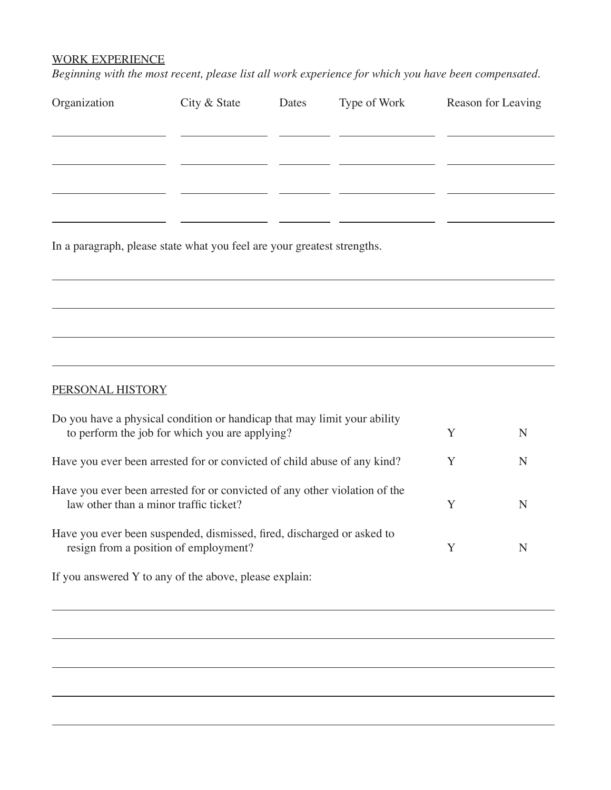## WORK EXPERIENCE

*Beginning with the most recent, please list all work experience for which you have been compensated.*

| Organization                                                                                                               | City & State | Dates | Type of Work |   | Reason for Leaving |
|----------------------------------------------------------------------------------------------------------------------------|--------------|-------|--------------|---|--------------------|
|                                                                                                                            |              |       |              |   |                    |
|                                                                                                                            |              |       |              |   |                    |
|                                                                                                                            |              |       |              |   |                    |
| In a paragraph, please state what you feel are your greatest strengths.                                                    |              |       |              |   |                    |
|                                                                                                                            |              |       |              |   |                    |
|                                                                                                                            |              |       |              |   |                    |
|                                                                                                                            |              |       |              |   |                    |
| PERSONAL HISTORY                                                                                                           |              |       |              |   |                    |
| Do you have a physical condition or handicap that may limit your ability<br>to perform the job for which you are applying? |              |       |              |   | N                  |
| Have you ever been arrested for or convicted of child abuse of any kind?                                                   |              |       |              |   | N                  |
| Have you ever been arrested for or convicted of any other violation of the<br>law other than a minor traffic ticket?       |              |       |              | Y | N                  |
| Have you ever been suspended, dismissed, fired, discharged or asked to<br>resign from a position of employment?            |              |       |              | Y | N                  |
| If you answered Y to any of the above, please explain:                                                                     |              |       |              |   |                    |
|                                                                                                                            |              |       |              |   |                    |